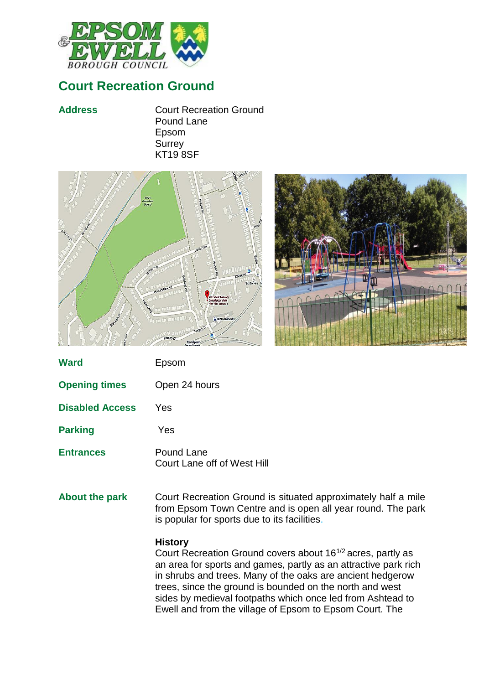

## **Court Recreation Ground**

**Address** Court Recreation Ground Pound Lane Epsom **Surrey** KT19 8SF





| <b>Ward</b>            | Epsom                                     |
|------------------------|-------------------------------------------|
| <b>Opening times</b>   | Open 24 hours                             |
| <b>Disabled Access</b> | <b>Yes</b>                                |
| <b>Parking</b>         | Yes                                       |
| <b>Entrances</b>       | Pound Lane<br>Court Lane off of West Hill |
| <b>About the park</b>  | Court Recreation Ground is siti           |

ation Ground is situated approximately half a mile from Epsom Town Centre and is open all year round. The park is popular for sports due to its facilities.

## **History**

Court Recreation Ground covers about 161/2 acres, partly as an area for sports and games, partly as an attractive park rich in shrubs and trees. Many of the oaks are ancient hedgerow trees, since the ground is bounded on the north and west sides by medieval footpaths which once led from Ashtead to Ewell and from the village of Epsom to Epsom Court. The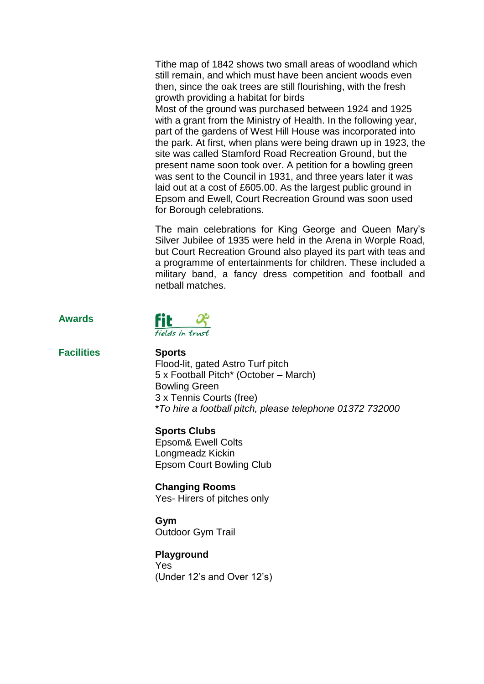Tithe map of 1842 shows two small areas of woodland which still remain, and which must have been ancient woods even then, since the oak trees are still flourishing, with the fresh growth providing a habitat for birds

Most of the ground was purchased between 1924 and 1925 with a grant from the Ministry of Health. In the following vear, part of the gardens of West Hill House was incorporated into the park. At first, when plans were being drawn up in 1923, the site was called Stamford Road Recreation Ground, but the present name soon took over. A petition for a bowling green was sent to the Council in 1931, and three years later it was laid out at a cost of £605.00. As the largest public ground in Epsom and Ewell, Court Recreation Ground was soon used for Borough celebrations.

The main celebrations for King George and Queen Mary's Silver Jubilee of 1935 were held in the Arena in Worple Road, but Court Recreation Ground also played its part with teas and a programme of entertainments for children. These included a military band, a fancy dress competition and football and netball matches.





**Facilities Sports**

Flood-lit, gated Astro Turf pitch 5 x Football Pitch\* (October – March) Bowling Green 3 x Tennis Courts (free) \**To hire a football pitch, please telephone 01372 732000*

**Sports Clubs** Epsom& Ewell Colts Longmeadz Kickin Epsom Court Bowling Club

**Changing Rooms** Yes- Hirers of pitches only

**Gym** Outdoor Gym Trail

**Playground** Yes (Under 12's and Over 12's)